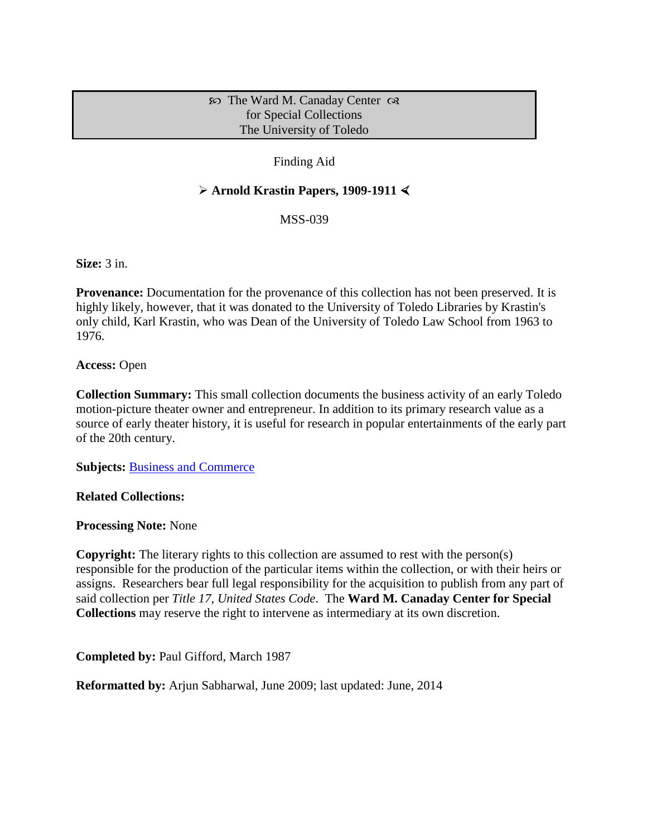### $\infty$  The Ward M. Canaday Center  $\infty$ for Special Collections The University of Toledo

## Finding Aid

## **Arnold Krastin Papers, 1909-1911**

MSS-039

**Size:** 3 in.

**Provenance:** Documentation for the provenance of this collection has not been preserved. It is highly likely, however, that it was donated to the University of Toledo Libraries by Krastin's only child, Karl Krastin, who was Dean of the University of Toledo Law School from 1963 to 1976.

**Access:** Open

**Collection Summary:** This small collection documents the business activity of an early Toledo motion-picture theater owner and entrepreneur. In addition to its primary research value as a source of early theater history, it is useful for research in popular entertainments of the early part of the 20th century.

**Subjects:** [Business and Commerce](http://www.utoledo.edu/library/canaday/guidepages/business.html)

**Related Collections:**

**Processing Note:** None

**Copyright:** The literary rights to this collection are assumed to rest with the person(s) responsible for the production of the particular items within the collection, or with their heirs or assigns. Researchers bear full legal responsibility for the acquisition to publish from any part of said collection per *Title 17, United States Code*. The **Ward M. Canaday Center for Special Collections** may reserve the right to intervene as intermediary at its own discretion.

**Completed by:** Paul Gifford, March 1987

**Reformatted by:** Arjun Sabharwal, June 2009; last updated: June, 2014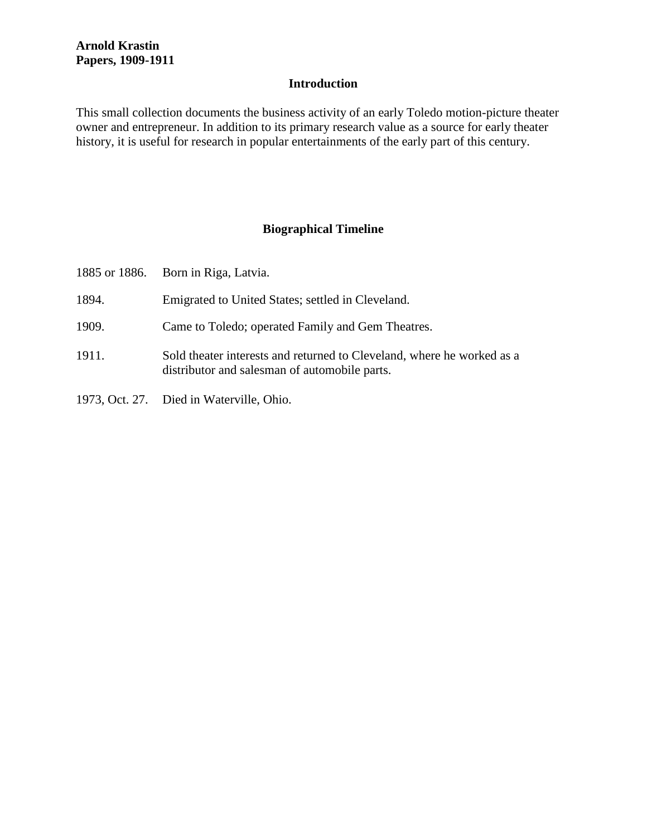## **Introduction**

This small collection documents the business activity of an early Toledo motion-picture theater owner and entrepreneur. In addition to its primary research value as a source for early theater history, it is useful for research in popular entertainments of the early part of this century.

## **Biographical Timeline**

|       | 1885 or 1886. Born in Riga, Latvia.                                                                                     |
|-------|-------------------------------------------------------------------------------------------------------------------------|
| 1894. | Emigrated to United States; settled in Cleveland.                                                                       |
| 1909. | Came to Toledo; operated Family and Gem Theatres.                                                                       |
| 1911. | Sold theater interests and returned to Cleveland, where he worked as a<br>distributor and salesman of automobile parts. |
|       | 1973, Oct. 27. Died in Waterville, Ohio.                                                                                |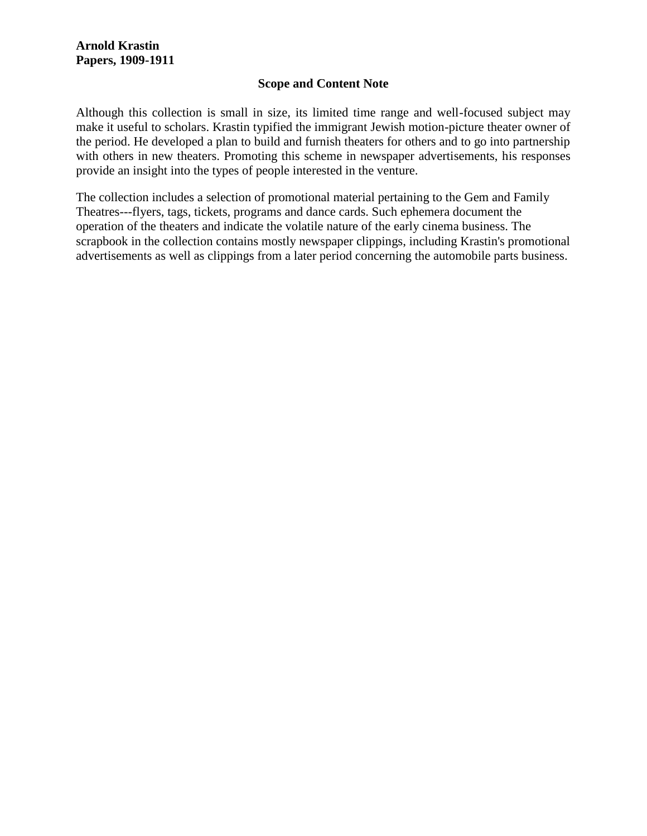### **Scope and Content Note**

Although this collection is small in size, its limited time range and well-focused subject may make it useful to scholars. Krastin typified the immigrant Jewish motion-picture theater owner of the period. He developed a plan to build and furnish theaters for others and to go into partnership with others in new theaters. Promoting this scheme in newspaper advertisements, his responses provide an insight into the types of people interested in the venture.

The collection includes a selection of promotional material pertaining to the Gem and Family Theatres---flyers, tags, tickets, programs and dance cards. Such ephemera document the operation of the theaters and indicate the volatile nature of the early cinema business. The scrapbook in the collection contains mostly newspaper clippings, including Krastin's promotional advertisements as well as clippings from a later period concerning the automobile parts business.